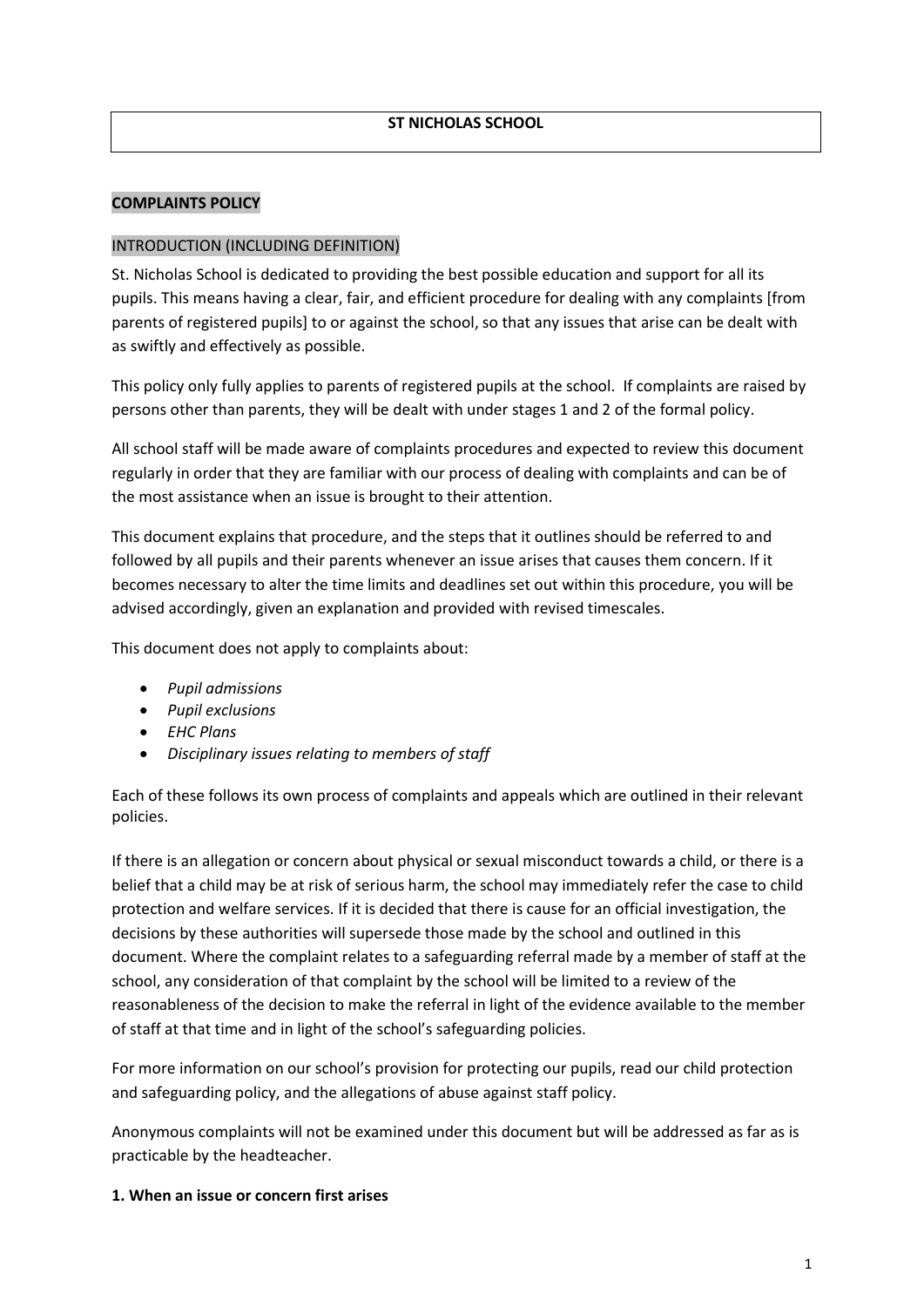#### **COMPLAINTS POLICY**

#### INTRODUCTION (INCLUDING DEFINITION)

St. Nicholas School is dedicated to providing the best possible education and support for all its pupils. This means having a clear, fair, and efficient procedure for dealing with any complaints [from parents of registered pupils] to or against the school, so that any issues that arise can be dealt with as swiftly and effectively as possible.

This policy only fully applies to parents of registered pupils at the school. If complaints are raised by persons other than parents, they will be dealt with under stages 1 and 2 of the formal policy.

All school staff will be made aware of complaints procedures and expected to review this document regularly in order that they are familiar with our process of dealing with complaints and can be of the most assistance when an issue is brought to their attention.

This document explains that procedure, and the steps that it outlines should be referred to and followed by all pupils and their parents whenever an issue arises that causes them concern. If it becomes necessary to alter the time limits and deadlines set out within this procedure, you will be advised accordingly, given an explanation and provided with revised timescales.

This document does not apply to complaints about:

- *Pupil admissions*
- *Pupil exclusions*
- *EHC Plans*
- *Disciplinary issues relating to members of staff*

Each of these follows its own process of complaints and appeals which are outlined in their relevant policies.

If there is an allegation or concern about physical or sexual misconduct towards a child, or there is a belief that a child may be at risk of serious harm, the school may immediately refer the case to child protection and welfare services. If it is decided that there is cause for an official investigation, the decisions by these authorities will supersede those made by the school and outlined in this document. Where the complaint relates to a safeguarding referral made by a member of staff at the school, any consideration of that complaint by the school will be limited to a review of the reasonableness of the decision to make the referral in light of the evidence available to the member of staff at that time and in light of the school's safeguarding policies.

For more information on our school's provision for protecting our pupils, read our child protection and safeguarding policy, and the allegations of abuse against staff policy.

Anonymous complaints will not be examined under this document but will be addressed as far as is practicable by the headteacher.

#### **1. When an issue or concern first arises**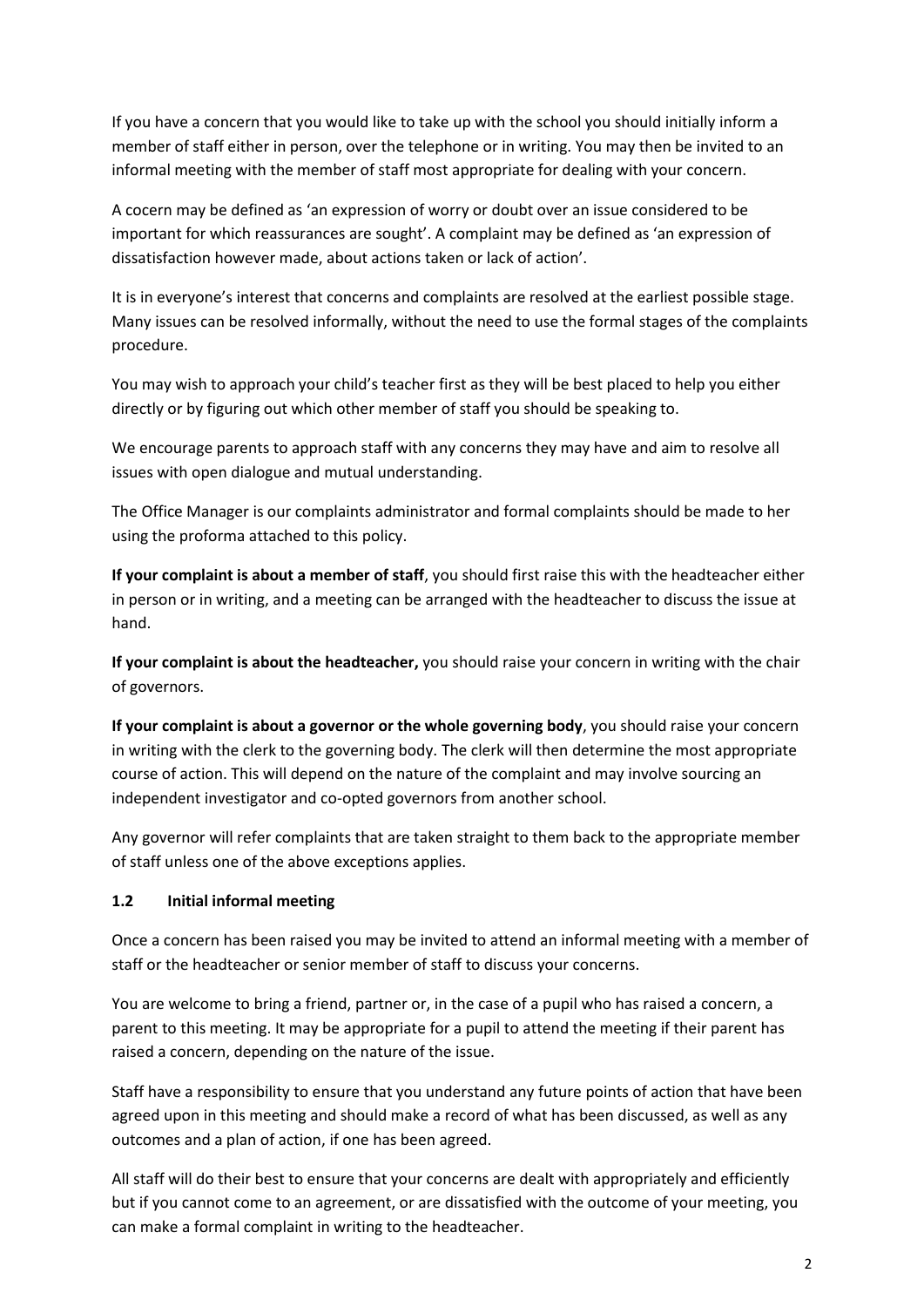If you have a concern that you would like to take up with the school you should initially inform a member of staff either in person, over the telephone or in writing. You may then be invited to an informal meeting with the member of staff most appropriate for dealing with your concern.

A cocern may be defined as 'an expression of worry or doubt over an issue considered to be important for which reassurances are sought'. A complaint may be defined as 'an expression of dissatisfaction however made, about actions taken or lack of action'.

It is in everyone's interest that concerns and complaints are resolved at the earliest possible stage. Many issues can be resolved informally, without the need to use the formal stages of the complaints procedure.

You may wish to approach your child's teacher first as they will be best placed to help you either directly or by figuring out which other member of staff you should be speaking to.

We encourage parents to approach staff with any concerns they may have and aim to resolve all issues with open dialogue and mutual understanding.

The Office Manager is our complaints administrator and formal complaints should be made to her using the proforma attached to this policy.

**If your complaint is about a member of staff**, you should first raise this with the headteacher either in person or in writing, and a meeting can be arranged with the headteacher to discuss the issue at hand.

**If your complaint is about the headteacher,** you should raise your concern in writing with the chair of governors.

**If your complaint is about a governor or the whole governing body**, you should raise your concern in writing with the clerk to the governing body. The clerk will then determine the most appropriate course of action. This will depend on the nature of the complaint and may involve sourcing an independent investigator and co-opted governors from another school.

Any governor will refer complaints that are taken straight to them back to the appropriate member of staff unless one of the above exceptions applies.

## **1.2 Initial informal meeting**

Once a concern has been raised you may be invited to attend an informal meeting with a member of staff or the headteacher or senior member of staff to discuss your concerns.

You are welcome to bring a friend, partner or, in the case of a pupil who has raised a concern, a parent to this meeting. It may be appropriate for a pupil to attend the meeting if their parent has raised a concern, depending on the nature of the issue.

Staff have a responsibility to ensure that you understand any future points of action that have been agreed upon in this meeting and should make a record of what has been discussed, as well as any outcomes and a plan of action, if one has been agreed.

All staff will do their best to ensure that your concerns are dealt with appropriately and efficiently but if you cannot come to an agreement, or are dissatisfied with the outcome of your meeting, you can make a formal complaint in writing to the headteacher.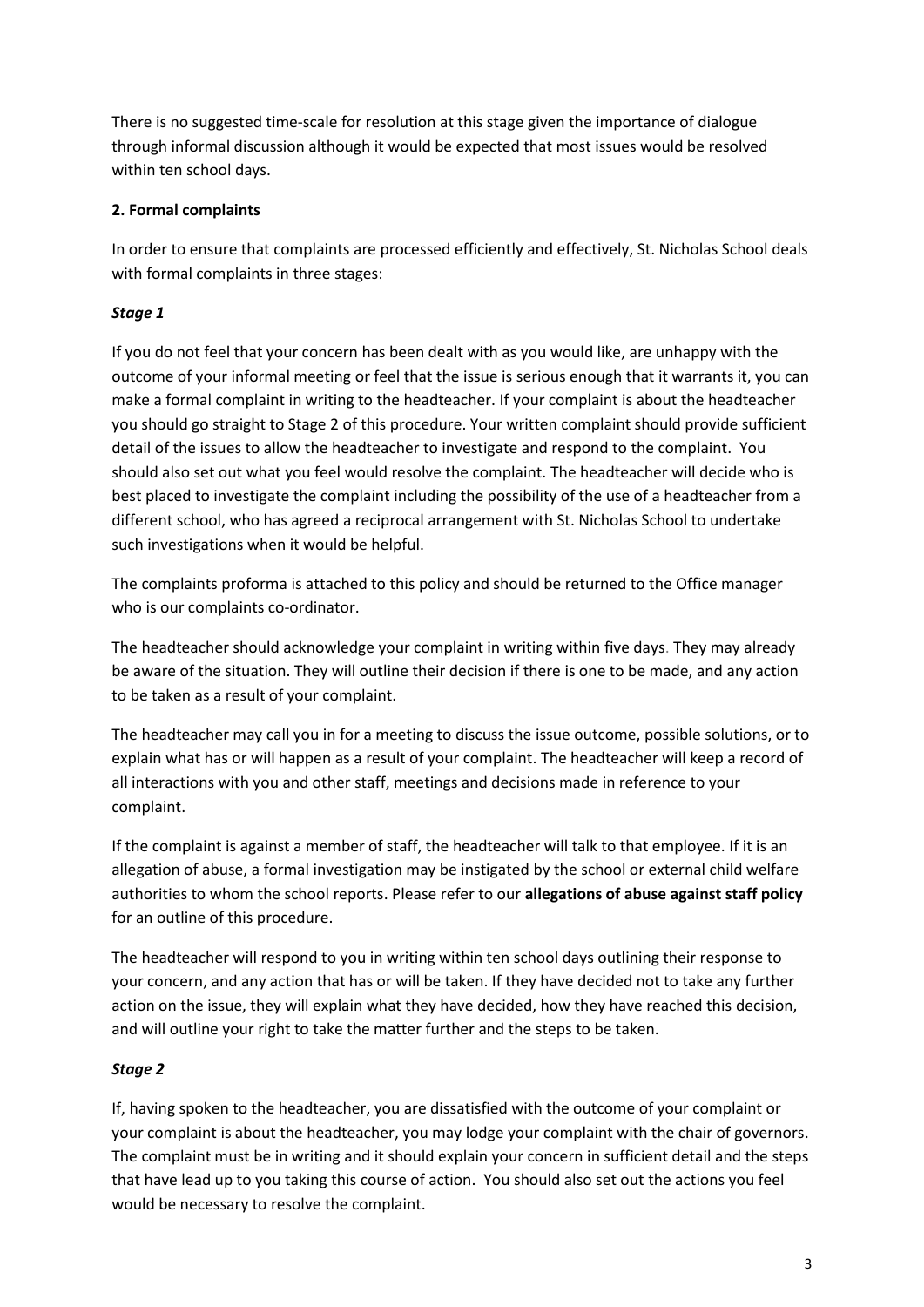There is no suggested time-scale for resolution at this stage given the importance of dialogue through informal discussion although it would be expected that most issues would be resolved within ten school days.

## **2. Formal complaints**

In order to ensure that complaints are processed efficiently and effectively, St. Nicholas School deals with formal complaints in three stages:

# *Stage 1*

If you do not feel that your concern has been dealt with as you would like, are unhappy with the outcome of your informal meeting or feel that the issue is serious enough that it warrants it, you can make a formal complaint in writing to the headteacher. If your complaint is about the headteacher you should go straight to Stage 2 of this procedure. Your written complaint should provide sufficient detail of the issues to allow the headteacher to investigate and respond to the complaint. You should also set out what you feel would resolve the complaint. The headteacher will decide who is best placed to investigate the complaint including the possibility of the use of a headteacher from a different school, who has agreed a reciprocal arrangement with St. Nicholas School to undertake such investigations when it would be helpful.

The complaints proforma is attached to this policy and should be returned to the Office manager who is our complaints co-ordinator.

The headteacher should acknowledge your complaint in writing within five days. They may already be aware of the situation. They will outline their decision if there is one to be made, and any action to be taken as a result of your complaint.

The headteacher may call you in for a meeting to discuss the issue outcome, possible solutions, or to explain what has or will happen as a result of your complaint. The headteacher will keep a record of all interactions with you and other staff, meetings and decisions made in reference to your complaint.

If the complaint is against a member of staff, the headteacher will talk to that employee. If it is an allegation of abuse, a formal investigation may be instigated by the school or external child welfare authorities to whom the school reports. Please refer to our **allegations of abuse against staff policy** for an outline of this procedure.

The headteacher will respond to you in writing within ten school days outlining their response to your concern, and any action that has or will be taken. If they have decided not to take any further action on the issue, they will explain what they have decided, how they have reached this decision, and will outline your right to take the matter further and the steps to be taken.

# *Stage 2*

If, having spoken to the headteacher, you are dissatisfied with the outcome of your complaint or your complaint is about the headteacher, you may lodge your complaint with the chair of governors. The complaint must be in writing and it should explain your concern in sufficient detail and the steps that have lead up to you taking this course of action. You should also set out the actions you feel would be necessary to resolve the complaint.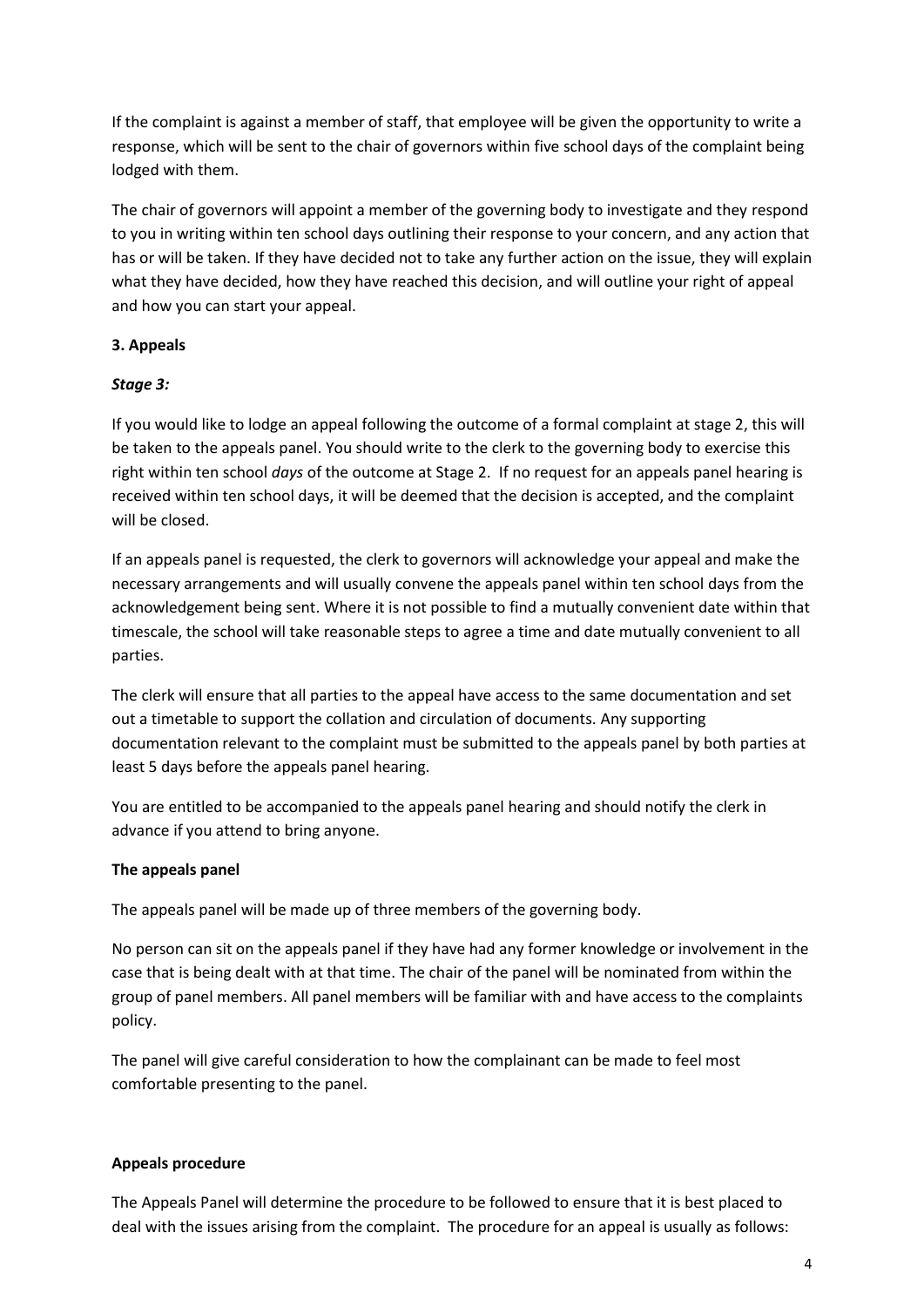If the complaint is against a member of staff, that employee will be given the opportunity to write a response, which will be sent to the chair of governors within five school days of the complaint being lodged with them.

The chair of governors will appoint a member of the governing body to investigate and they respond to you in writing within ten school days outlining their response to your concern, and any action that has or will be taken. If they have decided not to take any further action on the issue, they will explain what they have decided, how they have reached this decision, and will outline your right of appeal and how you can start your appeal.

# **3. Appeals**

## *Stage 3:*

If you would like to lodge an appeal following the outcome of a formal complaint at stage 2, this will be taken to the appeals panel. You should write to the clerk to the governing body to exercise this right within ten school *days* of the outcome at Stage 2. If no request for an appeals panel hearing is received within ten school days, it will be deemed that the decision is accepted, and the complaint will be closed.

If an appeals panel is requested, the clerk to governors will acknowledge your appeal and make the necessary arrangements and will usually convene the appeals panel within ten school days from the acknowledgement being sent. Where it is not possible to find a mutually convenient date within that timescale, the school will take reasonable steps to agree a time and date mutually convenient to all parties.

The clerk will ensure that all parties to the appeal have access to the same documentation and set out a timetable to support the collation and circulation of documents. Any supporting documentation relevant to the complaint must be submitted to the appeals panel by both parties at least 5 days before the appeals panel hearing.

You are entitled to be accompanied to the appeals panel hearing and should notify the clerk in advance if you attend to bring anyone.

## **The appeals panel**

The appeals panel will be made up of three members of the governing body.

No person can sit on the appeals panel if they have had any former knowledge or involvement in the case that is being dealt with at that time. The chair of the panel will be nominated from within the group of panel members. All panel members will be familiar with and have access to the complaints policy.

The panel will give careful consideration to how the complainant can be made to feel most comfortable presenting to the panel.

## **Appeals procedure**

The Appeals Panel will determine the procedure to be followed to ensure that it is best placed to deal with the issues arising from the complaint. The procedure for an appeal is usually as follows: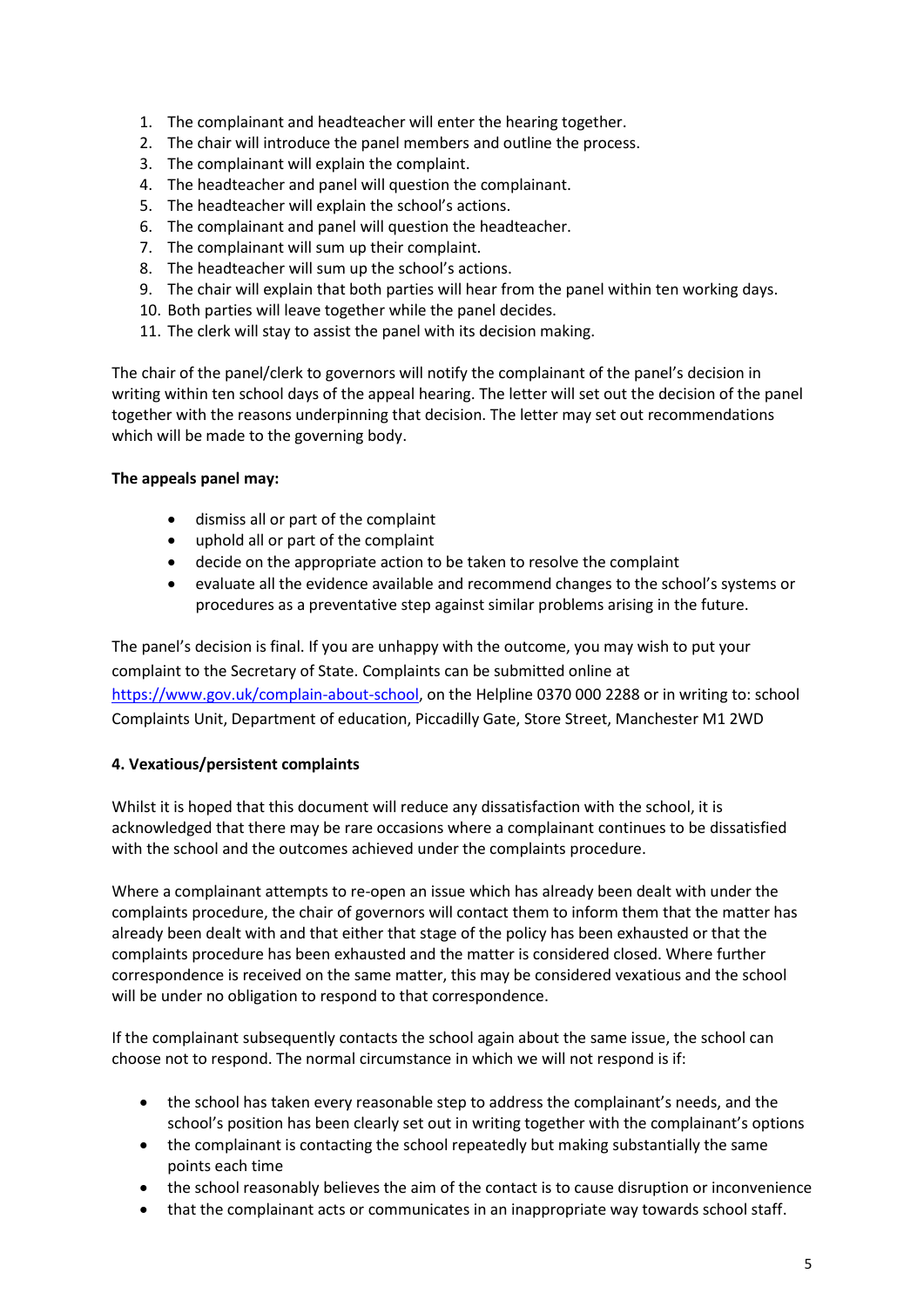- 1. The complainant and headteacher will enter the hearing together.
- 2. The chair will introduce the panel members and outline the process.
- 3. The complainant will explain the complaint.
- 4. The headteacher and panel will question the complainant.
- 5. The headteacher will explain the school's actions.
- 6. The complainant and panel will question the headteacher.
- 7. The complainant will sum up their complaint.
- 8. The headteacher will sum up the school's actions.
- 9. The chair will explain that both parties will hear from the panel within ten working days.
- 10. Both parties will leave together while the panel decides.
- 11. The clerk will stay to assist the panel with its decision making.

The chair of the panel/clerk to governors will notify the complainant of the panel's decision in writing within ten school days of the appeal hearing. The letter will set out the decision of the panel together with the reasons underpinning that decision. The letter may set out recommendations which will be made to the governing body.

#### **The appeals panel may:**

- dismiss all or part of the complaint
- uphold all or part of the complaint
- decide on the appropriate action to be taken to resolve the complaint
- evaluate all the evidence available and recommend changes to the school's systems or procedures as a preventative step against similar problems arising in the future.

The panel's decision is final. If you are unhappy with the outcome, you may wish to put your complaint to the Secretary of State. Complaints can be submitted online at [https://www.gov.uk/complain-about-school,](https://www.gov.uk/complain-about-school) on the Helpline 0370 000 2288 or in writing to: school Complaints Unit, Department of education, Piccadilly Gate, Store Street, Manchester M1 2WD

#### **4. Vexatious/persistent complaints**

Whilst it is hoped that this document will reduce any dissatisfaction with the school, it is acknowledged that there may be rare occasions where a complainant continues to be dissatisfied with the school and the outcomes achieved under the complaints procedure.

Where a complainant attempts to re-open an issue which has already been dealt with under the complaints procedure, the chair of governors will contact them to inform them that the matter has already been dealt with and that either that stage of the policy has been exhausted or that the complaints procedure has been exhausted and the matter is considered closed. Where further correspondence is received on the same matter, this may be considered vexatious and the school will be under no obligation to respond to that correspondence.

If the complainant subsequently contacts the school again about the same issue, the school can choose not to respond. The normal circumstance in which we will not respond is if:

- the school has taken every reasonable step to address the complainant's needs, and the school's position has been clearly set out in writing together with the complainant's options
- the complainant is contacting the school repeatedly but making substantially the same points each time
- the school reasonably believes the aim of the contact is to cause disruption or inconvenience
- that the complainant acts or communicates in an inappropriate way towards school staff.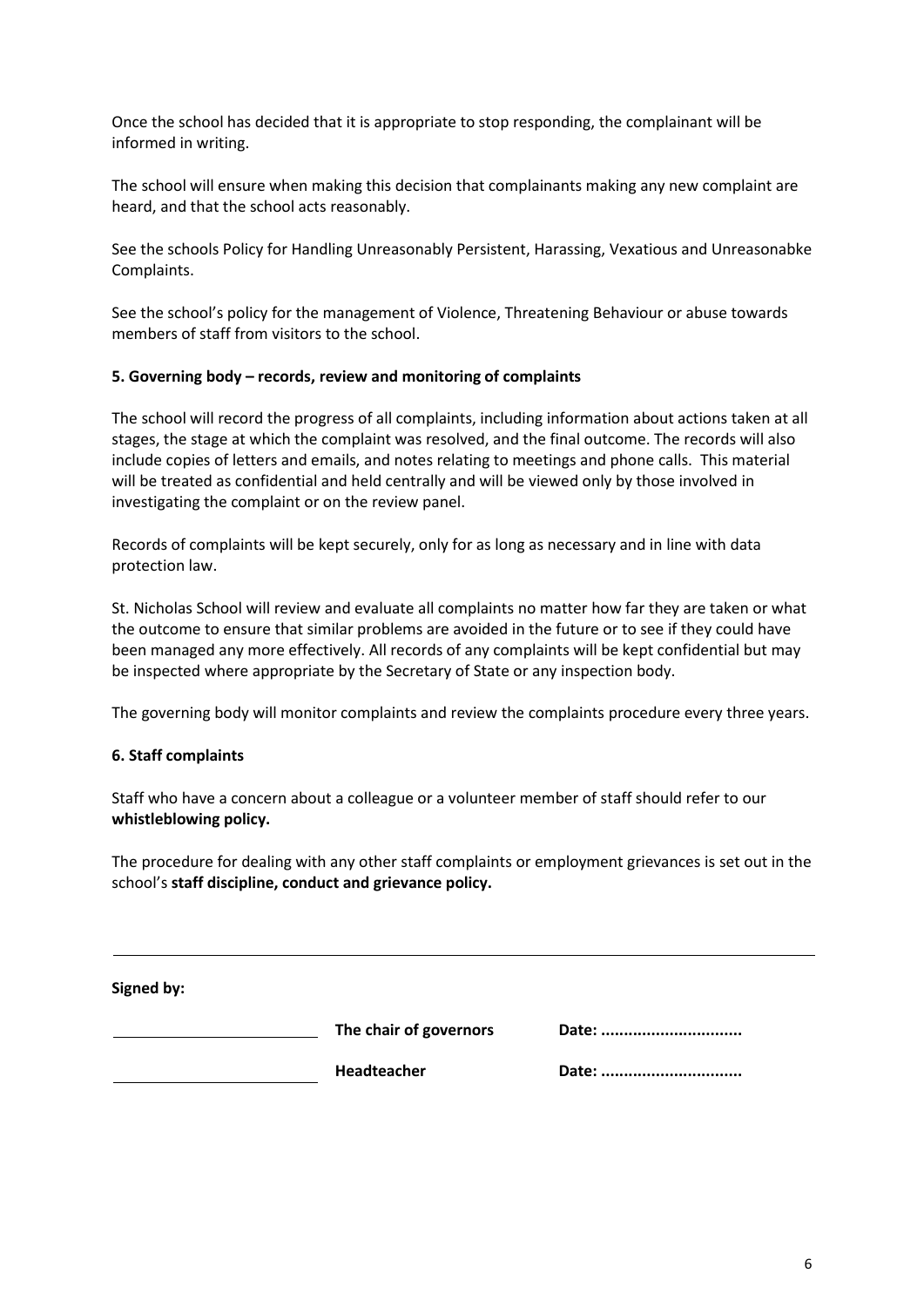Once the school has decided that it is appropriate to stop responding, the complainant will be informed in writing.

The school will ensure when making this decision that complainants making any new complaint are heard, and that the school acts reasonably.

See the schools Policy for Handling Unreasonably Persistent, Harassing, Vexatious and Unreasonabke Complaints.

See the school's policy for the management of Violence, Threatening Behaviour or abuse towards members of staff from visitors to the school.

#### **5. Governing body – records, review and monitoring of complaints**

The school will record the progress of all complaints, including information about actions taken at all stages, the stage at which the complaint was resolved, and the final outcome. The records will also include copies of letters and emails, and notes relating to meetings and phone calls. This material will be treated as confidential and held centrally and will be viewed only by those involved in investigating the complaint or on the review panel.

Records of complaints will be kept securely, only for as long as necessary and in line with data protection law.

St. Nicholas School will review and evaluate all complaints no matter how far they are taken or what the outcome to ensure that similar problems are avoided in the future or to see if they could have been managed any more effectively. All records of any complaints will be kept confidential but may be inspected where appropriate by the Secretary of State or any inspection body.

The governing body will monitor complaints and review the complaints procedure every three years.

#### **6. Staff complaints**

Staff who have a concern about a colleague or a volunteer member of staff should refer to our **whistleblowing policy.**

The procedure for dealing with any other staff complaints or employment grievances is set out in the school's **staff discipline, conduct and grievance policy.**

**Signed by:** 

**The chair of governors Date: ...............................**

**Headteacher Date: ...............................**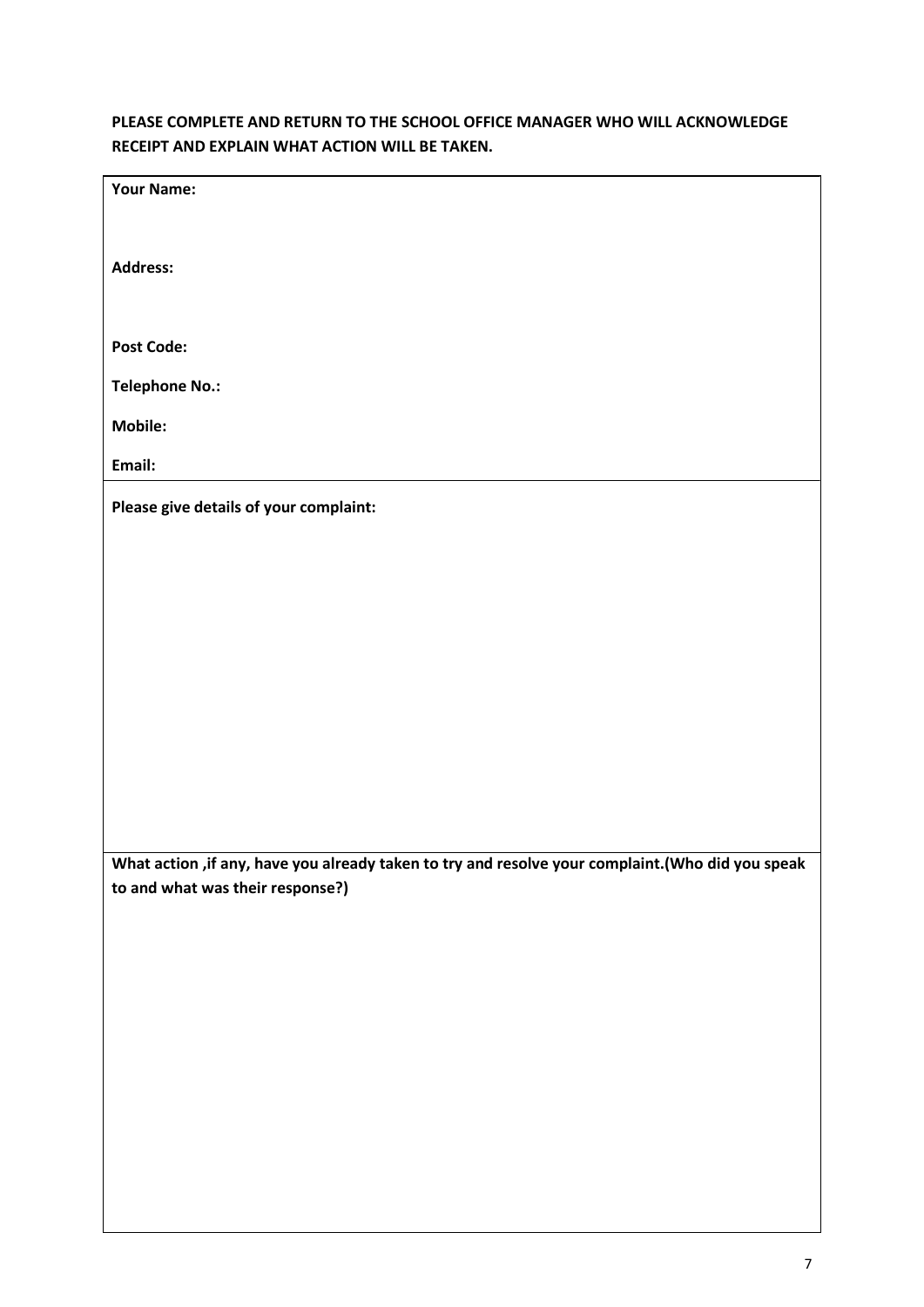# **PLEASE COMPLETE AND RETURN TO THE SCHOOL OFFICE MANAGER WHO WILL ACKNOWLEDGE RECEIPT AND EXPLAIN WHAT ACTION WILL BE TAKEN.**

| <b>Your Name:</b>                                                                                                                      |
|----------------------------------------------------------------------------------------------------------------------------------------|
|                                                                                                                                        |
| <b>Address:</b>                                                                                                                        |
|                                                                                                                                        |
| <b>Post Code:</b>                                                                                                                      |
| <b>Telephone No.:</b>                                                                                                                  |
| <b>Mobile:</b>                                                                                                                         |
| Email:                                                                                                                                 |
| Please give details of your complaint:                                                                                                 |
|                                                                                                                                        |
|                                                                                                                                        |
|                                                                                                                                        |
|                                                                                                                                        |
|                                                                                                                                        |
|                                                                                                                                        |
|                                                                                                                                        |
|                                                                                                                                        |
|                                                                                                                                        |
|                                                                                                                                        |
| What action , if any, have you already taken to try and resolve your complaint. (Who did you speak<br>to and what was their response?) |
|                                                                                                                                        |
|                                                                                                                                        |
|                                                                                                                                        |
|                                                                                                                                        |
|                                                                                                                                        |
|                                                                                                                                        |
|                                                                                                                                        |
|                                                                                                                                        |
|                                                                                                                                        |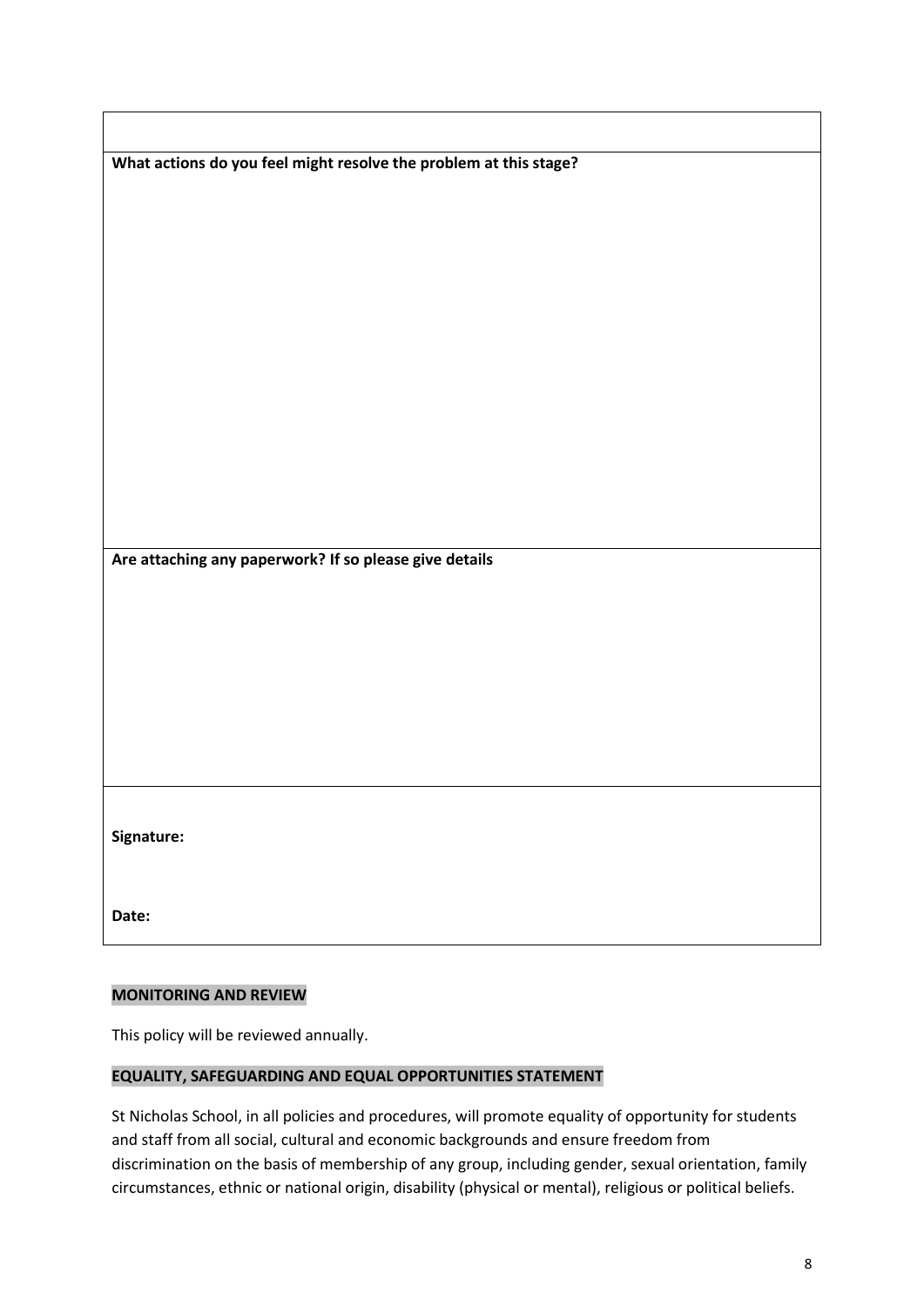| What actions do you feel might resolve the problem at this stage? |
|-------------------------------------------------------------------|
|                                                                   |
|                                                                   |
|                                                                   |
|                                                                   |
|                                                                   |
|                                                                   |
|                                                                   |
|                                                                   |
|                                                                   |
|                                                                   |
|                                                                   |
|                                                                   |
|                                                                   |
|                                                                   |
|                                                                   |
|                                                                   |
| Are attaching any paperwork? If so please give details            |
|                                                                   |
|                                                                   |
|                                                                   |
|                                                                   |
|                                                                   |
|                                                                   |
|                                                                   |
|                                                                   |
|                                                                   |
|                                                                   |
|                                                                   |
|                                                                   |
|                                                                   |
| Signature:                                                        |
|                                                                   |
|                                                                   |

## **MONITORING AND REVIEW**

 $\overline{\phantom{a}}$ 

This policy will be reviewed annually.

#### **EQUALITY, SAFEGUARDING AND EQUAL OPPORTUNITIES STATEMENT**

St Nicholas School, in all policies and procedures, will promote equality of opportunity for students and staff from all social, cultural and economic backgrounds and ensure freedom from discrimination on the basis of membership of any group, including gender, sexual orientation, family circumstances, ethnic or national origin, disability (physical or mental), religious or political beliefs.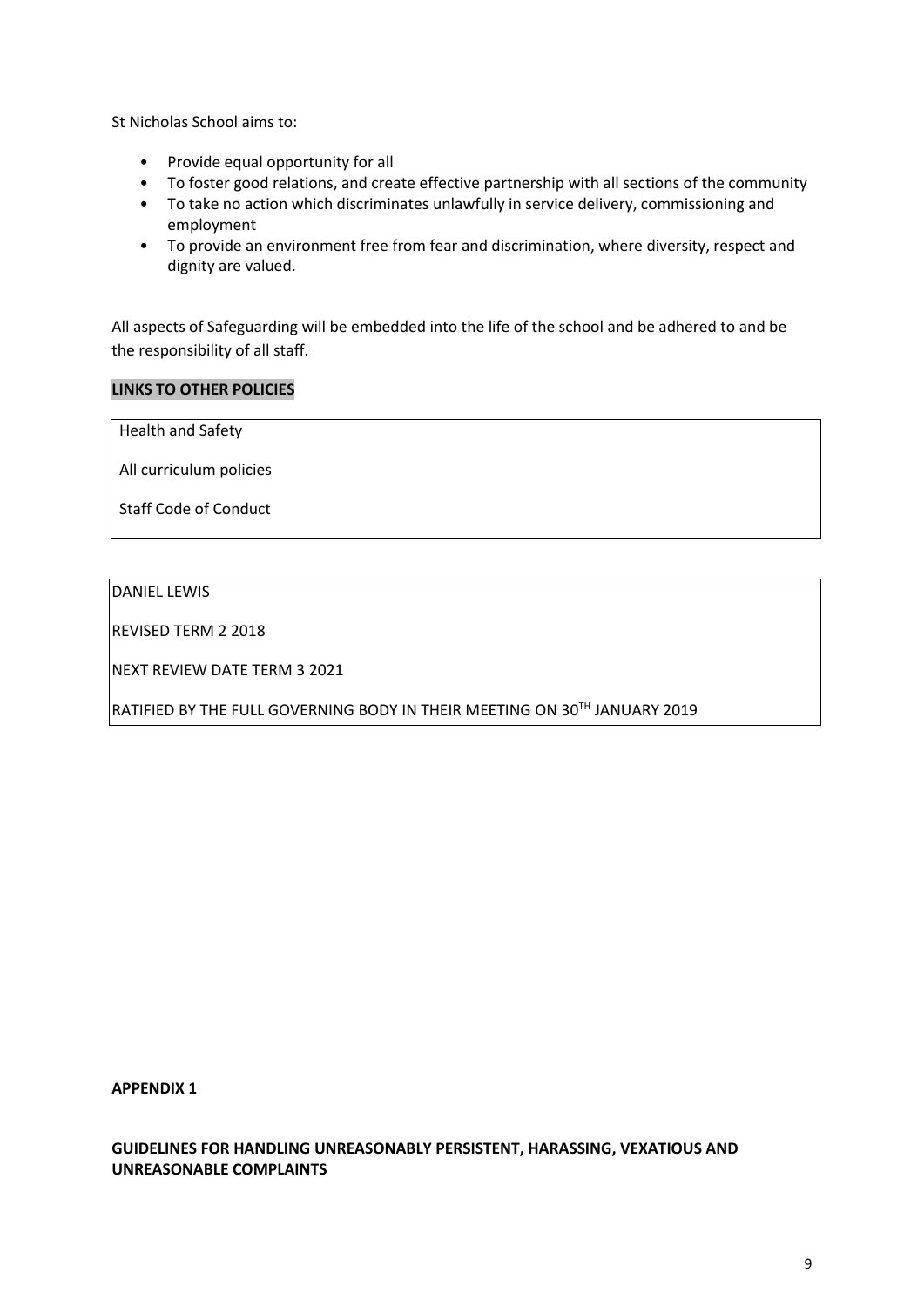St Nicholas School aims to:

- Provide equal opportunity for all
- To foster good relations, and create effective partnership with all sections of the community
- To take no action which discriminates unlawfully in service delivery, commissioning and employment
- To provide an environment free from fear and discrimination, where diversity, respect and dignity are valued.

All aspects of Safeguarding will be embedded into the life of the school and be adhered to and be the responsibility of all staff.

### **LINKS TO OTHER POLICIES**

Health and Safety

All curriculum policies

Staff Code of Conduct

# DANIEL LEWIS

REVISED TERM 2 2018

NEXT REVIEW DATE TERM 3 2021

RATIFIED BY THE FULL GOVERNING BODY IN THEIR MEETING ON 30TH JANUARY 2019

**APPENDIX 1**

**GUIDELINES FOR HANDLING UNREASONABLY PERSISTENT, HARASSING, VEXATIOUS AND UNREASONABLE COMPLAINTS**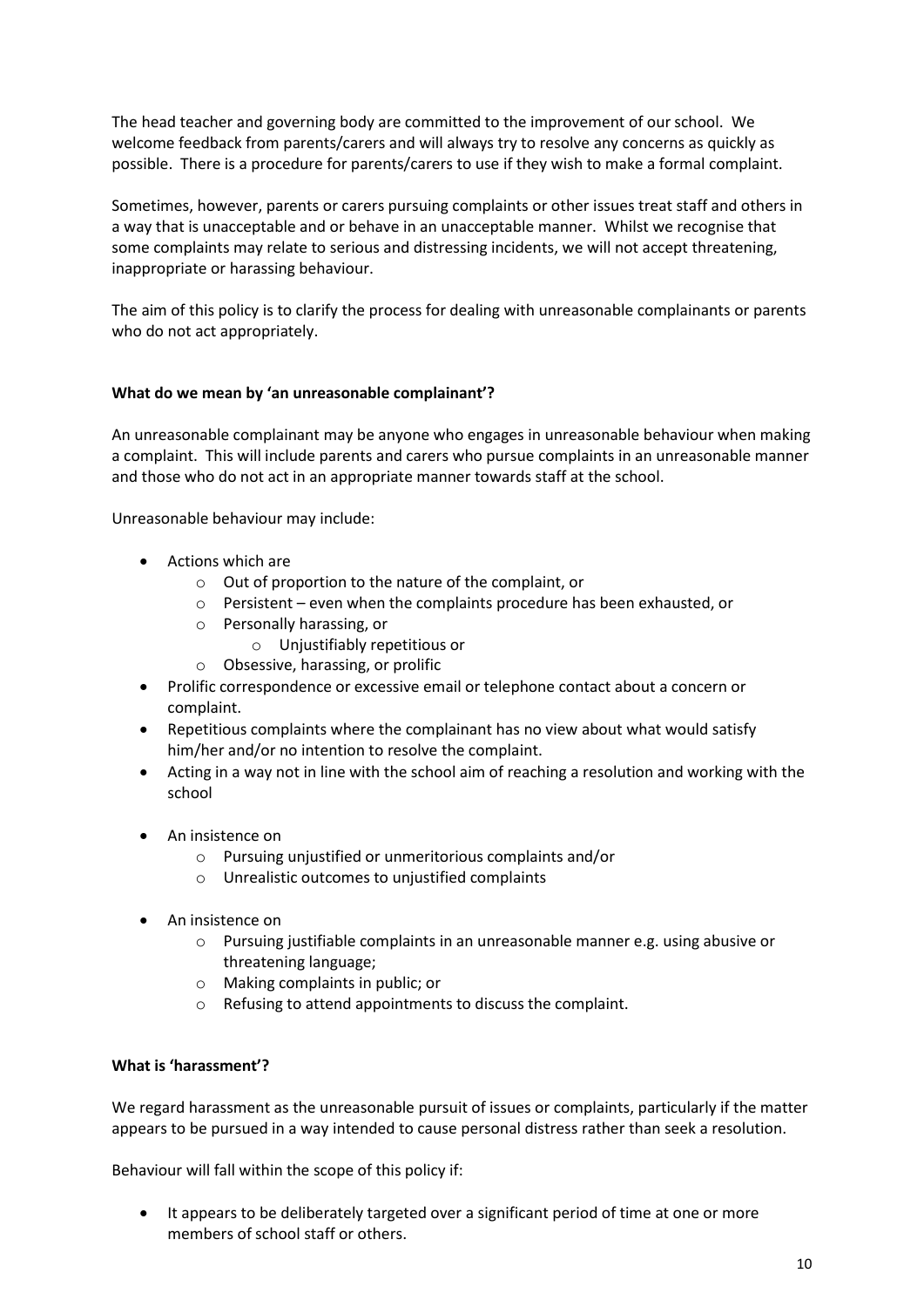The head teacher and governing body are committed to the improvement of our school. We welcome feedback from parents/carers and will always try to resolve any concerns as quickly as possible. There is a procedure for parents/carers to use if they wish to make a formal complaint.

Sometimes, however, parents or carers pursuing complaints or other issues treat staff and others in a way that is unacceptable and or behave in an unacceptable manner. Whilst we recognise that some complaints may relate to serious and distressing incidents, we will not accept threatening, inappropriate or harassing behaviour.

The aim of this policy is to clarify the process for dealing with unreasonable complainants or parents who do not act appropriately.

#### **What do we mean by 'an unreasonable complainant'?**

An unreasonable complainant may be anyone who engages in unreasonable behaviour when making a complaint. This will include parents and carers who pursue complaints in an unreasonable manner and those who do not act in an appropriate manner towards staff at the school.

Unreasonable behaviour may include:

- Actions which are
	- o Out of proportion to the nature of the complaint, or
	- o Persistent even when the complaints procedure has been exhausted, or
	- o Personally harassing, or
		- o Unjustifiably repetitious or
	- o Obsessive, harassing, or prolific
- Prolific correspondence or excessive email or telephone contact about a concern or complaint.
- Repetitious complaints where the complainant has no view about what would satisfy him/her and/or no intention to resolve the complaint.
- Acting in a way not in line with the school aim of reaching a resolution and working with the school
- An insistence on
	- o Pursuing unjustified or unmeritorious complaints and/or
	- o Unrealistic outcomes to unjustified complaints
- An insistence on
	- $\circ$  Pursuing justifiable complaints in an unreasonable manner e.g. using abusive or threatening language;
	- o Making complaints in public; or
	- o Refusing to attend appointments to discuss the complaint.

#### **What is 'harassment'?**

We regard harassment as the unreasonable pursuit of issues or complaints, particularly if the matter appears to be pursued in a way intended to cause personal distress rather than seek a resolution.

Behaviour will fall within the scope of this policy if:

• It appears to be deliberately targeted over a significant period of time at one or more members of school staff or others.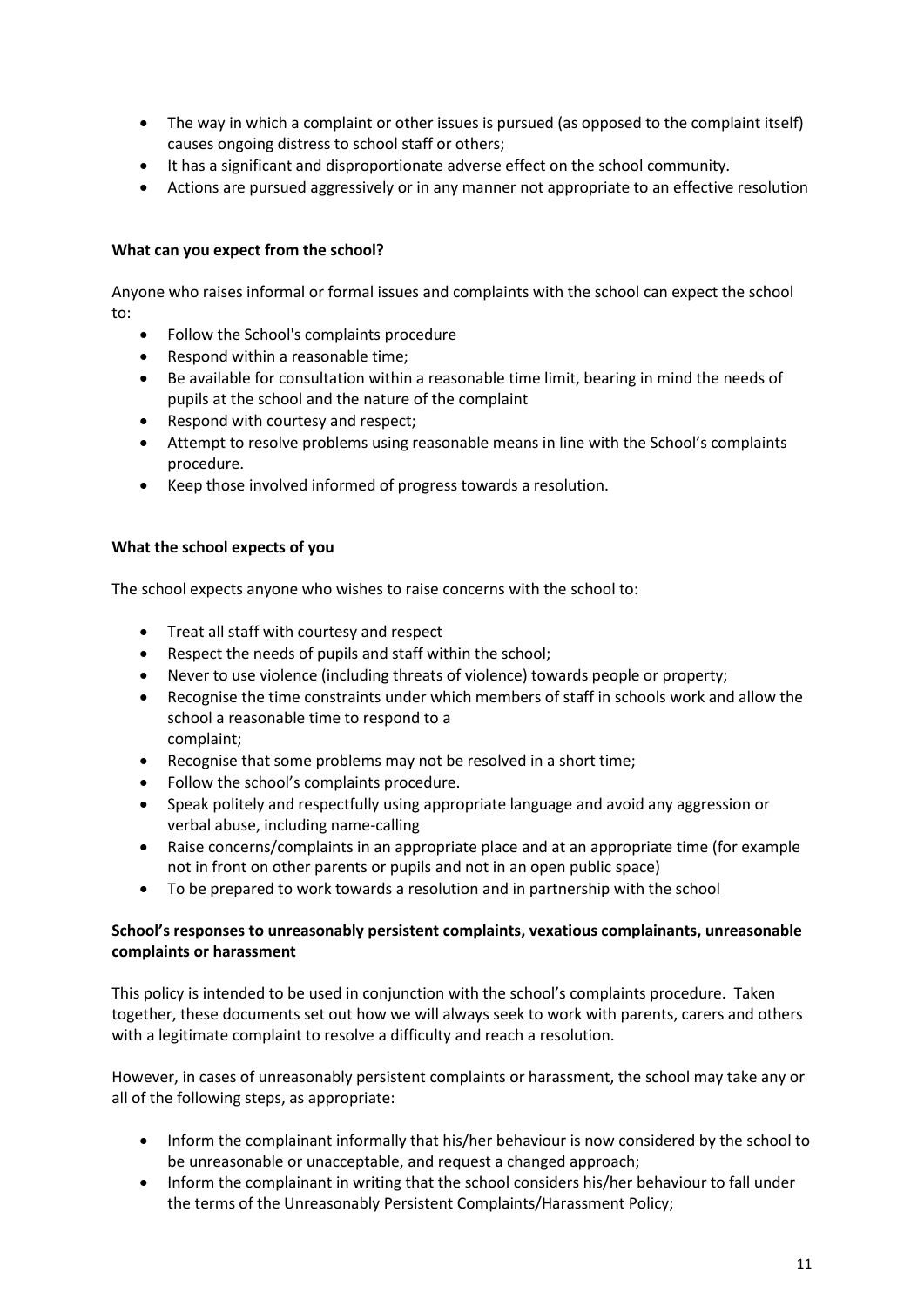- The way in which a complaint or other issues is pursued (as opposed to the complaint itself) causes ongoing distress to school staff or others;
- It has a significant and disproportionate adverse effect on the school community.
- Actions are pursued aggressively or in any manner not appropriate to an effective resolution

## **What can you expect from the school?**

Anyone who raises informal or formal issues and complaints with the school can expect the school to:

- Follow the School's complaints procedure
- Respond within a reasonable time;
- Be available for consultation within a reasonable time limit, bearing in mind the needs of pupils at the school and the nature of the complaint
- Respond with courtesy and respect;
- Attempt to resolve problems using reasonable means in line with the School's complaints procedure.
- Keep those involved informed of progress towards a resolution.

## **What the school expects of you**

The school expects anyone who wishes to raise concerns with the school to:

- Treat all staff with courtesy and respect
- Respect the needs of pupils and staff within the school;
- Never to use violence (including threats of violence) towards people or property;
- Recognise the time constraints under which members of staff in schools work and allow the school a reasonable time to respond to a complaint;
- Recognise that some problems may not be resolved in a short time;
- Follow the school's complaints procedure.
- Speak politely and respectfully using appropriate language and avoid any aggression or verbal abuse, including name-calling
- Raise concerns/complaints in an appropriate place and at an appropriate time (for example not in front on other parents or pupils and not in an open public space)
- To be prepared to work towards a resolution and in partnership with the school

## **School's responses to unreasonably persistent complaints, vexatious complainants, unreasonable complaints or harassment**

This policy is intended to be used in conjunction with the school's complaints procedure. Taken together, these documents set out how we will always seek to work with parents, carers and others with a legitimate complaint to resolve a difficulty and reach a resolution.

However, in cases of unreasonably persistent complaints or harassment, the school may take any or all of the following steps, as appropriate:

- Inform the complainant informally that his/her behaviour is now considered by the school to be unreasonable or unacceptable, and request a changed approach;
- Inform the complainant in writing that the school considers his/her behaviour to fall under the terms of the Unreasonably Persistent Complaints/Harassment Policy;